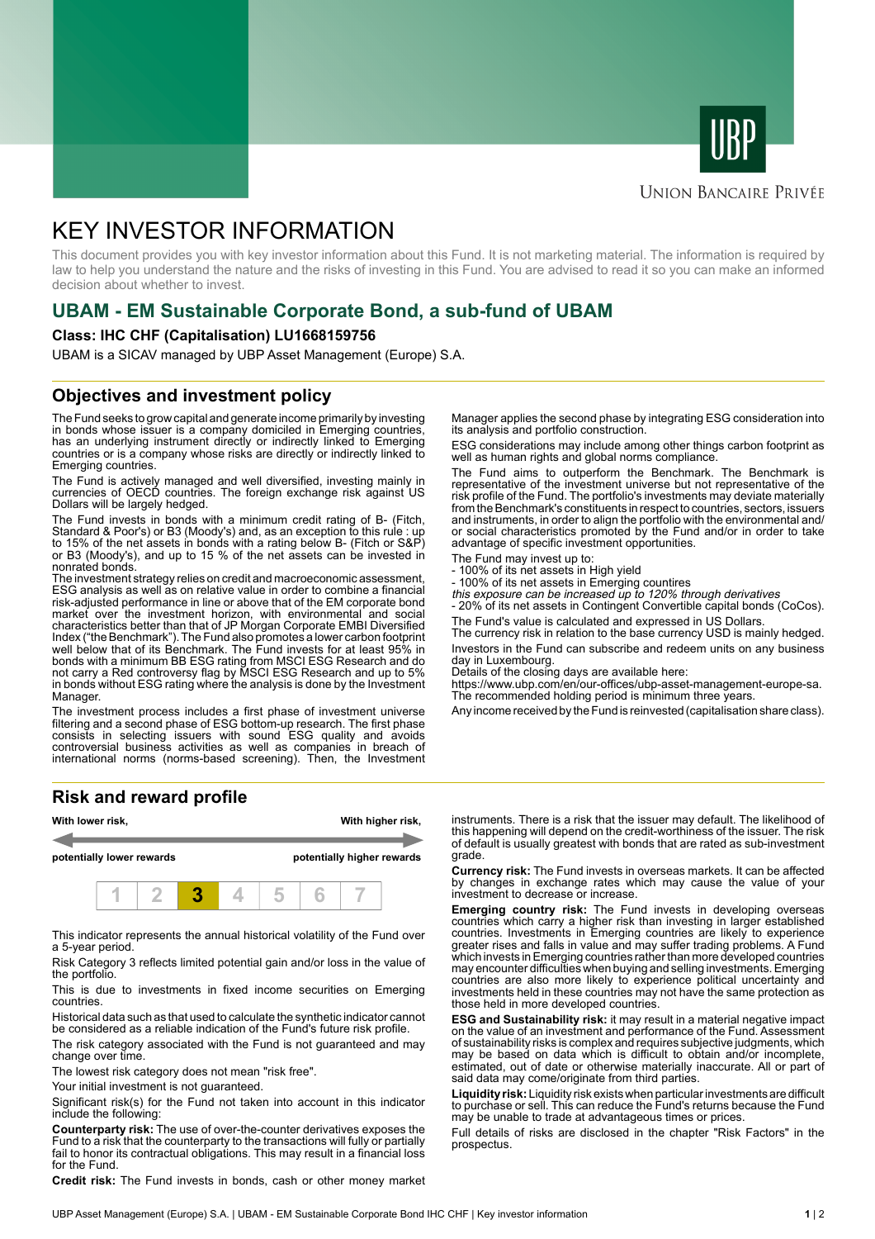



### **UNION BANCAIRE PRIVÉE**

# KEY INVESTOR INFORMATION

This document provides you with key investor information about this Fund. It is not marketing material. The information is required by law to help you understand the nature and the risks of investing in this Fund. You are advised to read it so you can make an informed decision about whether to invest.

# **UBAM - EM Sustainable Corporate Bond, a sub-fund of UBAM**

#### **Class: IHC CHF (Capitalisation) LU1668159756**

UBAM is a SICAV managed by UBP Asset Management (Europe) S.A.

### **Objectives and investment policy**

The Fund seeks to grow capital and generate income primarily by investing in bonds whose issuer is a company domiciled in Emerging countries, has an underlying instrument directly or indirectly linked to Emerging countries or is a company whose risks are directly or indirectly linked to Emerging countries.

The Fund is actively managed and well diversified, investing mainly in currencies of OECD countries. The foreign exchange risk against US Dollars will be largely hedged.

The Fund invests in bonds with a minimum credit rating of B- (Fitch, Standard & Poor's) or B3 (Moody's) and, as an exception to this rule : up to 15% of the net assets in bonds with a rating below B- (Fitch or S&P) or B3 (Moody's), and up to 15 % of the net assets can be invested in nonrated bonds.

The investment strategy relies on credit and macroeconomic assessment, ESG analysis as well as on relative value in order to combine a financial risk-adjusted performance in line or above that of the EM corporate bond market over the investment horizon, with environmental and social characteristics better than that of JP Morgan Corporate EMBI Diversified Index ("the Benchmark"). The Fund also promotes a lower carbon footprint well below that of its Benchmark. The Fund invests for at least 95% in bonds with a minimum BB ESG rating from MSCI ESG Research and do not carry a Red controversy flag by MSCI ESG Research and up to 5% in bonds without ESG rating where the analysis is done by the Investment Manager.

The investment process includes a first phase of investment universe filtering and a second phase of ESG bottom-up research. The first phase consists in selecting issuers with sound ESG quality and avoids controversial business activities as well as companies in breach of international norms (norms-based screening). Then, the Investment

#### **Risk and reward profile**



This indicator represents the annual historical volatility of the Fund over a 5-year period.

Risk Category 3 reflects limited potential gain and/or loss in the value of the portfolio.

This is due to investments in fixed income securities on Emerging countries.

Historical data such as that used to calculate the synthetic indicator cannot be considered as a reliable indication of the Fund's future risk profile.

The risk category associated with the Fund is not guaranteed and may change over time.

The lowest risk category does not mean "risk free".

Your initial investment is not guaranteed.

Significant risk(s) for the Fund not taken into account in this indicator include the following:

**Counterparty risk:** The use of over-the-counter derivatives exposes the Fund to a risk that the counterparty to the transactions will fully or partially fail to honor its contractual obligations. This may result in a financial loss for the Fund.

**Credit risk:** The Fund invests in bonds, cash or other money market

Manager applies the second phase by integrating ESG consideration into its analysis and portfolio construction.

ESG considerations may include among other things carbon footprint as well as human rights and global norms compliance.

The Fund aims to outperform the Benchmark. The Benchmark is representative of the investment universe but not representative of the risk profile of the Fund. The portfolio's investments may deviate materially from the Benchmark's constituents in respect to countries, sectors, issuers and instruments, in order to align the portfolio with the environmental and/ or social characteristics promoted by the Fund and/or in order to take advantage of specific investment opportunities.

The Fund may invest up to:

- 100% of its net assets in High yield
- 100% of its net assets in Emerging countires this exposure can be increased up to 120% through derivatives

- 20% of its net assets in Contingent Convertible capital bonds (CoCos). The Fund's value is calculated and expressed in US Dollars.

The currency risk in relation to the base currency USD is mainly hedged. Investors in the Fund can subscribe and redeem units on any business day in Luxembourg.

Details of the closing days are available here:

https://www.ubp.com/en/our-offices/ubp-asset-management-europe-sa. The recommended holding period is minimum three years.

Any income received by the Fund is reinvested (capitalisation share class).

instruments. There is a risk that the issuer may default. The likelihood of this happening will depend on the credit-worthiness of the issuer. The risk of default is usually greatest with bonds that are rated as sub-investment grade.

**Currency risk:** The Fund invests in overseas markets. It can be affected by changes in exchange rates which may cause the value of your investment to decrease or increase.

**Emerging country risk:** The Fund invests in developing overseas countries which carry a higher risk than investing in larger established countries. Investments in Emerging countries are likely to experience greater rises and falls in value and may suffer trading problems. A Fund which invests in Emerging countries rather than more developed countries may encounter difficulties when buying and selling investments. Emerging countries are also more likely to experience political uncertainty and investments held in these countries may not have the same protection as those held in more developed countries.

**ESG and Sustainability risk:** it may result in a material negative impact on the value of an investment and performance of the Fund. Assessment of sustainability risks is complex and requires subjective judgments, which may be based on data which is difficult to obtain and/or incomplete, estimated, out of date or otherwise materially inaccurate. All or part of said data may come/originate from third parties.

**Liquidity risk:** Liquidity risk exists when particular investments are difficult to purchase or sell. This can reduce the Fund's returns because the Fund may be unable to trade at advantageous times or prices.

Full details of risks are disclosed in the chapter "Risk Factors" in the prospectus.